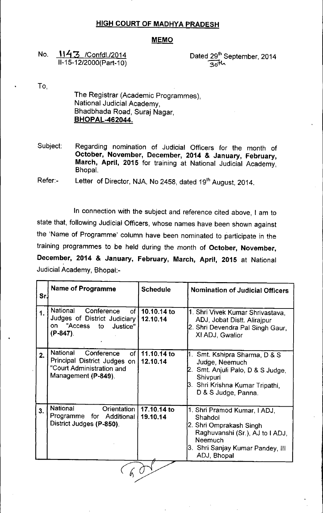## HIGH COURT OF MADHYA PRADESH

## **MEMO**

No. 1143 /Confdl./2014 11-15-12/2000(Part-10)

Dated 29<sup>th</sup> September, 2014  $30^{\mathrm{th}}$ 

To,

The Registrar (Academic Programmes), National Judicial Academy, Bhadbhada Road, Suraj Nagar, BHOPAL-462044.

Subject: Regarding nomination of Judicial Officers for the month of October, November, December, 2014 & January, February, March, April, 2015 for training at National Judicial Academy, Bhopal.

Refer:- Letter of Director, NJA, No 2458, dated 19<sup>th</sup> August, 2014.

In connection with the subject and reference cited above, I am to state that, following Judicial Officers, whose names have been shown against the 'Name of Programme' column have been nominated to participate in the training programmes to be held during the month of October, November, December, 2014 & January, February, March, April, 2015 at National Judicial Academy, Bhopal:-

| Sr.           | <b>Name of Programme</b>                                                                                                             | <b>Schedule</b>         | <b>Nomination of Judicial Officers</b>                                                                                                                              |
|---------------|--------------------------------------------------------------------------------------------------------------------------------------|-------------------------|---------------------------------------------------------------------------------------------------------------------------------------------------------------------|
| $\mathbf 1$ . | National<br>Conference<br>$of \sqrt{ }Judges of District Judiciary"AccesstoJustice"on(P-847).$                                       | 10.10.14 to<br>12.10.14 | 1. Shri Vivek Kumar Shrivastava,<br>ADJ, Jobat Distt. Alirajpur<br>2. Shri Devendra Pal Singh Gaur,<br>XI ADJ, Gwalior                                              |
| 2.            | <b>National</b><br>Conference<br>of <sub>l</sub><br>Principal District Judges on<br>"Court Administration and<br>Management (P-849). | 11.10.14 to<br>12.10.14 | 1.  Smt. Kshipra Sharma, D & S<br>Judge, Neemuch<br>2. Smt. Anjuli Palo, D & S Judge,<br>Shivpuri<br>3. Shri Krishna Kumar Tripathi,<br>D & S Judge, Panna.         |
| 3.            | National<br>Orientation<br>Programme<br>for Additional<br>District Judges (P-850).                                                   | 17.10.14 to<br>19.10.14 | 1. Shri Pramod Kumar, I ADJ,<br>Shahdol<br>2. Shri Omprakash Singh<br>Raghuvanshi (Sr.), AJ to I ADJ,<br>Neemuch<br>3. Shri Sanjay Kumar Pandey, III<br>ADJ, Bhopal |
|               |                                                                                                                                      |                         |                                                                                                                                                                     |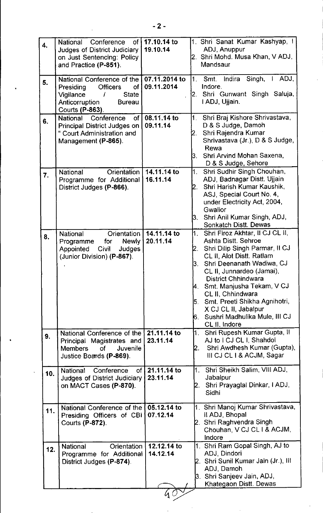| $\overline{4}$ . | of I<br>National Conference<br><b>Judges of District Judiciary</b>                                                                                  | 17.10.14 to<br>19.10.14     | 1. Shri Sanat Kumar Kashyap, I<br>ADJ, Anuppur                                                                                                                                                                                                                                                                                                                                                              |
|------------------|-----------------------------------------------------------------------------------------------------------------------------------------------------|-----------------------------|-------------------------------------------------------------------------------------------------------------------------------------------------------------------------------------------------------------------------------------------------------------------------------------------------------------------------------------------------------------------------------------------------------------|
|                  | on Just Sentencing: Policy<br>and Practice (P-851).                                                                                                 |                             | 2. Shri Mohd. Musa Khan, V ADJ,<br>Mandsaur                                                                                                                                                                                                                                                                                                                                                                 |
| 5.               | National Conference of the<br>Presiding<br><b>Officers</b><br>οf<br>Vigilance<br><b>State</b><br>Anticorruption<br><b>Bureau</b><br>Courts (P-863). | 07.11.2014 to<br>09.11.2014 | Singh, $\vert$ ADJ,<br>1.<br>Smt.<br>Indira<br>Indore.<br>Shri Gunwant Singh Saluja,<br>2.<br>I ADJ, Ujjain.                                                                                                                                                                                                                                                                                                |
| 6.               | of<br><b>National</b><br>Conference<br>Principal District Judges on<br>" Court Administration and<br>Management (P-865).                            | 08.11.14 to<br>09.11.14     | 1.<br>Shri Braj Kishore Shrivastava,<br>D & S Judge, Damoh<br>Shri Rajendra Kumar<br>Shrivastava (Jr.), D & S Judge,<br>Rewa<br>Shri Arvind Mohan Saxena,<br>3.<br>D & S Judge, Sehore                                                                                                                                                                                                                      |
| 7 <sub>1</sub>   | National<br>Orientation<br>Programme for Additional<br>District Judges (P-866).                                                                     | 14.11.14 to<br>16.11.14     | Shri Sudhir Singh Chouhan,<br>1.<br>ADJ, Badnagar Distt. Ujjain<br>Shri Harish Kumar Kaushik,<br>12.<br>ASJ, Special Court No. 4,<br>under Electricity Act, 2004,<br>Gwalior<br>Shri Anil Kumar Singh, ADJ,<br>3.<br><b>Sonkatch Distt. Dewas</b>                                                                                                                                                           |
| 8.               | Orientation<br><b>National</b><br><b>Newly</b><br>for<br>Programme<br>Civil<br>Judges<br>Appointed<br>(Junior Division) (P-867).                    | 14.11.14 to<br>20.11.14     | 1. Shri Firoz Akhtar, Il CJ CL II,<br>Ashta Distt. Sehroe<br>Shri Dilip Singh Parmar, II CJ<br>2.<br>CL II, Alot Distt. Ratlam<br>Shri Deenanath Wadiwa, CJ<br>3.<br>CL II, Junnardeo (Jamai),<br><b>District Chhindwara</b><br>Smt. Manjusha Tekam, V CJ<br>4.<br>CL II, Chhindwara<br>Smt. Preeti Shikha Agnihotri,<br>5.<br>X CJ CL II, Jabalpur<br>Sushri Madhulika Mule, III CJ<br>6.<br>CL II, Indore |
| 9.               | National Conference of the I<br>Principal Magistrates and<br>Juvenile<br><b>Members</b><br><b>of</b><br>Justice Boards (P-869).                     | 21.11.14 to<br>23.11.14     | Shri Rupesh Kumar Gupta, II<br>1.<br>AJ to I CJ CL I, Shahdol<br>Shri Awdhesh Kumar (Gupta).<br>12.<br>III CJ CL I & ACJM, Sagar                                                                                                                                                                                                                                                                            |
| 10.              | of<br><b>National</b><br>Conference<br><b>Judges of District Judiciary</b><br>on MACT Cases (P-870).                                                | 21.11.14 to<br>23.11.14     | Shri Sheikh Salim, VIII ADJ,<br>1.<br>Jabaipur<br>Shri Prayaglal Dinkar, I ADJ,<br>2.<br>Sidhi                                                                                                                                                                                                                                                                                                              |
| 11.              | National Conference of the<br>Presiding Officers of CBI<br><b>Courts (P-872).</b>                                                                   | 05.12.14 to<br>07.12.14     | 1. Shri Manoj Kumar Shrivastava,<br>Il ADJ, Bhopal<br>Shri Raghvendra Singh<br>$\mathbf{Z}$ .<br>Chouhan, V CJ CL I & ACJM,<br>Indore                                                                                                                                                                                                                                                                       |
| 12.              | Orientation<br><b>National</b><br>Programme for Additional<br>District Judges (P-874).                                                              | 12.12.14 to<br>14.12.14     | 1. Shri Ram Gopal Singh, AJ to<br>ADJ, Dindori<br>2. Shri Sunil Kumar Jain (Jr.), Ill<br>ADJ, Damoh<br>Shri Sanjeev Jain, ADJ,<br>ß.<br>Khategaon Distt. Dewas                                                                                                                                                                                                                                              |
|                  |                                                                                                                                                     |                             |                                                                                                                                                                                                                                                                                                                                                                                                             |

 $\mathcal{L}_\text{max}$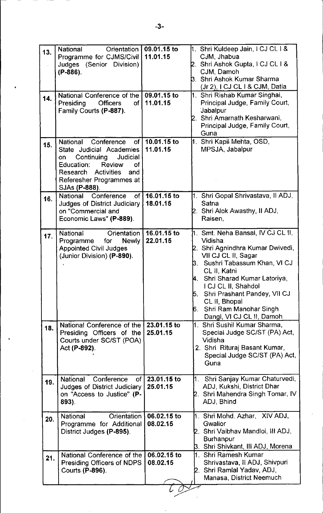| 13. | Orientation<br><b>National</b><br>Programme for CJMS/Civil<br>Judges (Senior Division)<br>$(P-886)$ .                                                                                                 | 09.01.15 to<br>11.01.15 | 1. Shri Kuldeep Jain, I CJ CL I &<br>CJM, Jhabua<br>2. Shri Ashok Gupta, I CJ CL I &<br>CJM, Damoh<br><b>3. Shri Ashok Kumar Sharma</b><br>(Jr 2), I CJ CL I & CJM, Datia                                                                                                                                                             |
|-----|-------------------------------------------------------------------------------------------------------------------------------------------------------------------------------------------------------|-------------------------|---------------------------------------------------------------------------------------------------------------------------------------------------------------------------------------------------------------------------------------------------------------------------------------------------------------------------------------|
| 14. | National Conference of the<br>Presiding<br><b>Officers</b><br>0f<br>Family Courts (P-887).                                                                                                            | 09.01.15 to<br>11.01.15 | 1. Shri Rishab Kumar Singhai,<br>Principal Judge, Family Court,<br>Jabalpur<br>Shri Amarnath Kesharwani,<br>Principal Judge, Family Court,<br>Guna                                                                                                                                                                                    |
| 15. | National Conference<br>$\circ$ f<br>State Judicial Academies<br>Continuing<br>Judicial<br>on<br>Review<br>Education:<br>of<br>Research Activities<br>and<br>Referesher Programmes at<br>SJAs (P-888). | 10.01.15 to<br>11.01.15 | 1. Shri Kapil Mehta, OSD,<br>MPSJA, Jabalpur                                                                                                                                                                                                                                                                                          |
| 16. | National<br>Conference<br>of I<br><b>Judges of District Judiciary</b><br>on "Commercial and<br>Economic Laws" (P-889).                                                                                | 16.01.15 to<br>18.01.15 | 1. Shri Gopal Shrivastava, Il ADJ,<br>Satna<br>Shri Alok Awasthy, II ADJ,<br>Raisen,                                                                                                                                                                                                                                                  |
| 17. | National<br>Orientation<br><b>Newly</b><br>Programme<br>for<br><b>Appointed Civil Judges</b><br>(Junior Division) (P-890).                                                                            | 16.01.15 to<br>22.01.15 | Smt. Neha Bansal, IV CJ CL II,<br>1.<br>Vidisha<br>Shri Agnindhra Kumar Dwivedi,<br>VII CJ CL II, Sagar<br>Sushri Tabassum Khan, VI CJ<br>β.<br>CL II, Katni<br>Shri Sharad Kumar Latoriya<br>I CJ CL II, Shahdol<br>Shri Prashant Pandey, VII CJ<br>5.<br>CL II, Bhopal<br>Shri Ram Manohar Singh<br>6.<br>Dangi, VI CJ CL II, Damoh |
| 18. | National Conference of the<br>Presiding Officers of the<br>Courts under SC/ST (POA)<br>Act (P-892).                                                                                                   | 23.01.15 to<br>25.01.15 | 1. Shri Sushil Kumar Sharma,<br>Special Judge SC/ST (PA) Act,<br>Vidisha<br>2. Shri Rituraj Basant Kumar,<br>Special Judge SC/ST (PA) Act,<br>Guna                                                                                                                                                                                    |
| 19. | <b>National</b><br>Conference<br>of<br>Judges of District Judiciary<br>on "Access to Justice" (P-<br>893).                                                                                            | 23.01.15 to<br>25.01.15 | 1. Shri Sanjay Kumar Chaturvedi,<br>ADJ, Kukshi, District Dhar<br>2.  Shri Mahendra Singh Tomar, IV<br>ADJ, Bhind                                                                                                                                                                                                                     |
| 20. | Orientation<br>National<br>Programme for Additional<br>District Judges (P-895).                                                                                                                       | 06.02.15 to<br>08.02.15 | 1. Shri Mohd. Azhar, XIV ADJ,<br>Gwalior<br>2.  Shri Vaibhav Mandloi, III ADJ,<br><b>Burhanpur</b><br>3.  Shri Shivkant, III ADJ, Morena                                                                                                                                                                                              |
| 21. | National Conference of the<br>Presiding Officers of NDPS<br>Courts (P-896).                                                                                                                           | 06.02.15 to<br>08.02.15 | l1.  Shri Ramesh Kumar<br>Shrivastava, Il ADJ, Shivpuri<br>2.  Shri Ramlal Yadav, ADJ,<br>Manasa, District Neemuch                                                                                                                                                                                                                    |
|     |                                                                                                                                                                                                       |                         |                                                                                                                                                                                                                                                                                                                                       |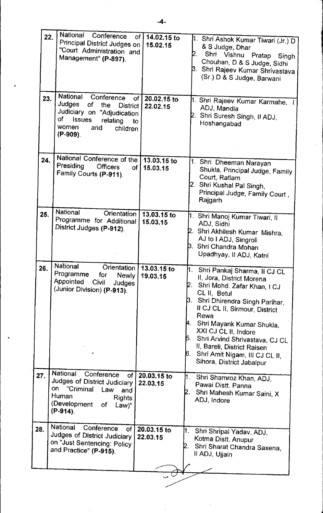| 22. | National Conference<br>Principal District Judges on<br>"Court Administration and<br>Management" (P-897).                                                                                 | of   14.02.15 to<br>15.02.15 | 1.  Shri Ashok Kumar Tiwari (Jr.) D<br>& S Judge, Dhar<br>Shri Vishnu Pratap<br>2.<br>Singh<br>Chouhan, D & S Judge, Sidhi<br>β.  Shri Rajeev Kumar Shrivastava<br>(Sr.) D & S Judge, Barwani                                                                                                                                                                                                              |
|-----|------------------------------------------------------------------------------------------------------------------------------------------------------------------------------------------|------------------------------|------------------------------------------------------------------------------------------------------------------------------------------------------------------------------------------------------------------------------------------------------------------------------------------------------------------------------------------------------------------------------------------------------------|
| 23. | National<br>Conference<br>of<br>Judges<br>οf<br>the<br><b>District</b><br>Judiciary on "Adjudication<br>of<br><b>Issues</b><br>relating<br>to<br>women<br>and<br>children<br>$(P-909)$ . | 20.02.15 to<br>22.02.15      | 1. Shri Rajeev Kumar Karmahe, I<br>ADJ, Mandla<br>Shri Suresh Singh, II ADJ,<br>Hoshangabad                                                                                                                                                                                                                                                                                                                |
| 24. | National Conference of the  <br>Presiding<br><b>Officers</b><br>of I<br>Family Courts (P-911).                                                                                           | 13.03.15 to<br>15.03.15      | 1. Shri Dheeman Narayan<br>Shukla, Principal Judge, Family<br>Court, Ratlam<br>Shri Kushal Pal Singh,<br>Principal Judge, Family Court,<br>Rajgarh                                                                                                                                                                                                                                                         |
| 25. | <b>National</b><br>Orientation<br>Programme for Additional<br>District Judges (P-912).                                                                                                   | 13.03.15 to<br>15.03.15      | 1.  Shri Manoj Kumar Tiwari, II<br>ADJ, Sidhi<br>2. Shri Akhilesh Kumar Mishra,<br>AJ to I ADJ, Singroli<br>β.  Shri Chandra Mohan<br>Upadhyay, II ADJ, Katni                                                                                                                                                                                                                                              |
| 26. | National<br>Orientation<br>Programme<br>for<br><b>Newly</b><br>Appointed Civil<br><b>Judges</b><br>(Junior Division) (P-913).                                                            | 13.03.15 to<br>19.03.15      | l1.<br>Shri Pankaj Sharma, Il CJ CL<br>II, Jora, District Morena<br>Shri Mohd. Zafar Khan, I CJ<br>CL II, Betul<br>Shri Dhirendra Singh Parihar,<br>ß. .<br>II CJ CL II, Sirmour, District<br>Rewa<br>μ.<br>Shri Mayank Kumar Shukla,<br>XXI CJ CL II, Indore<br>l5.<br>Shri Arvind Shrivastava, CJ CL<br>II, Bareli, District Raisen<br>6.<br>Shri Amit Nigam, III CJ CL II,<br>Sihora, District Jabalpur |
| 27. | National Conference<br><b>of</b><br>Judges of District Judiciary<br>"Criminal<br>on<br>Law<br>and<br>Human<br><b>Rights</b><br>(Development<br>οf<br>$Law$ "<br>$(P-914)$ .              | 20.03.15 to<br>22.03.15      | 1.<br>Shri Shamroz Khan, ADJ,<br>Pawai Distt. Panna<br>Shri Mahesh Kumar Saini, X<br>ADJ, Indore                                                                                                                                                                                                                                                                                                           |
| 28. | National<br>Conference<br>of.<br>Judges of District Judiciary<br>on "Just Sentencing: Policy<br>and Practice" (P-915).                                                                   | 20.03.15 to<br>22.03.15      | 1.<br>Shri Shripal Yadav, ADJ,<br>Kotma Distt. Anupur<br>Shri Sharat Chandra Saxena,<br>Il ADJ, Ujjain                                                                                                                                                                                                                                                                                                     |
|     |                                                                                                                                                                                          |                              |                                                                                                                                                                                                                                                                                                                                                                                                            |

~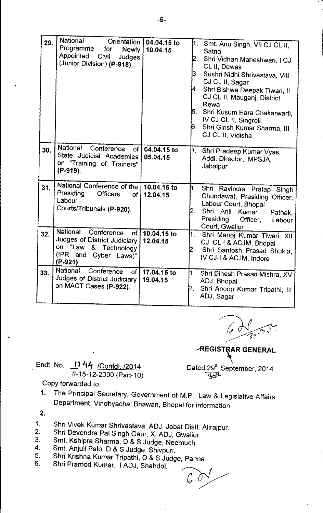| 29. | National<br>Orientation                                                 | 04.04.15 to             | $\mathbf{1}$ . | Smt. Anu Singh, VII CJ CL II,                          |
|-----|-------------------------------------------------------------------------|-------------------------|----------------|--------------------------------------------------------|
|     | Programme<br>for<br><b>Newly</b>                                        | 10.04.15                |                | Satna                                                  |
|     | <b>Appointed</b><br>Civil<br>Judges<br>(Junior Division) (P-918).       |                         | 2.             | Shri Vidhan Maheshwari, I CJ<br>CL II, Dewas           |
|     |                                                                         |                         |                | 3.   Sushri Nidhi Shrivastava, VIII                    |
|     |                                                                         |                         |                | CJ CL II, Sagar                                        |
|     |                                                                         |                         | 4.             | Shri Bishwa Deepak Tiwari, II                          |
|     |                                                                         |                         |                | CJ CL II, Mauganj, District<br>Rewa                    |
|     |                                                                         |                         | ļ5.            | Shri Kusum Hara Chakarwarti,                           |
|     |                                                                         |                         |                | IV CJ CL II, Singroli                                  |
|     |                                                                         |                         | 6.             | Shri Girish Kumar Sharma, III<br>CJ CL II, Vidisha     |
|     |                                                                         |                         |                |                                                        |
| 30. | National<br>Conference<br>of l                                          | 04.04.15 to             | 1.             | Shri Pradeep Kumar Vyas,                               |
|     | State Judicial Academies<br>on "Training of Trainers"                   | 05.04.15                |                | Addl. Director, MPSJA,                                 |
|     | (P-919).                                                                |                         |                | Jabalpur                                               |
|     |                                                                         |                         |                |                                                        |
| 31. | National Conference of the<br>Presiding<br><b>Officers</b><br><b>of</b> | 10.04.15 to<br>12.04.15 | 1.             | Shri Ravindra Pratap Singh                             |
|     | Labour                                                                  |                         |                | Chundawat, Presiding Officer,<br>Labour Court, Bhopal  |
|     | Courts/Tribunals (P-920).                                               |                         | 2.             | Shri Anil Kumar<br>Pathak,                             |
|     |                                                                         |                         |                | Presiding<br>Officer,<br>Labour                        |
| 32. | National<br>Conference<br>of                                            | 10.04.15 to             |                | Court, Gwalior                                         |
|     | Judges of District Judiciary                                            | 12.04.15                | M. .           | Shri Manoj Kumar Tiwari, XII<br>CJ CL I & ACJM, Bhopal |
|     | on "Law & Technology                                                    |                         | 2.             | Shri Santosh Prasad Shukla,                            |
|     | (IPR and<br>Cyber Laws)"<br>$(P-921)$ .                                 |                         |                | IV CJ-I & ACJM, Indore                                 |
| 33. | National<br>Conference<br>of <sub>1</sub>                               | 17.04.15 to             |                |                                                        |
|     | Judges of District Judiciary                                            | 19.04.15                | 1.             | Shri Dinesh Prasad Mishra, XV<br>ADJ, Bhopal           |
|     | on MACT Cases (P-922).                                                  |                         | 2.             | Shri Anoop Kumar Tripathi, III                         |
|     |                                                                         |                         |                | ADJ, Sagar                                             |
|     |                                                                         |                         |                |                                                        |

/  $-20.$ .----

*REGISTRAR GENERAL* 

Endt. No. 1144 /Confdl. /2014 11-15-12-2000 (Part-10)

Dated 29th September, 2014  $3$  $\sigma$  $\sim$ 

Copy forwarded to:

- 1. The Principal Secretary, Government of M.P., Law & Legislative Affairs Department, Vindhyachal Bhawan, Bhopal for information.
- 2.
- 1. Shri Vivek Kumar Shrivastava, ADJ, Jobat Distt. Alirajpur.
- 2. Shri Devendra Pal Singh Gaur, XI ADJ, Gwalior.
- 3. Smt. Kshipra Sharma, D & S Judge, Neemuch.
- 4. 5. Sm!. Anjuli Palo, D & S Judge, Shivpuri.
- Shri Krishna Kumar Tripathi, D & S Judge, Panna.
- 6. Shri Pramod Kumar, I ADJ, Shahdol.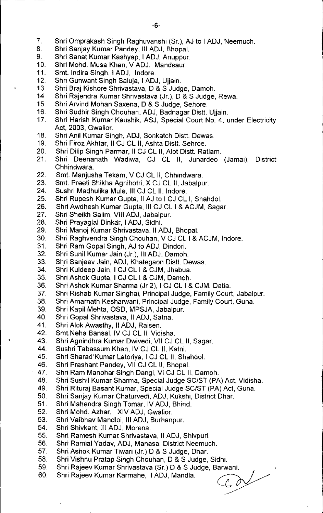- 7. Shri Omprakash Singh Raghuvanshi (Sr.), AJ to I ADJ, Neemuch.
- 8. Shri Sanjay Kumar Pandey, III ADJ, Bhopal.
- 9. Shri Sanat Kumar Kashyap, I ADJ, Anuppur.
- 10. Shri Mohd. Musa Khan, V ADJ, Mandsaur.
- 11. Smt. Indira Singh, I ADJ, Indore.
- 12. Shri Gunwant Singh Saluja, I ADJ, Ujjain.
- 13. Shri Braj Kishore Shrivastava, D & S Judge, Damoh.
- 14. Shri Rajendra Kumar Shrivastava (Jr.), D & S Judge, Rewa.
- 15. Shri Arvind Mohan Saxena, D & S Judge, Sehore.
- 16. Shri Sudhir Singh Ohouhan, ADJ, Badnagar Distt. Ujjain.
- 17. Shri Harish Kumar Kaushik, ASJ, Special Court NO.4, under Electricity Act, 2003, Gwalior.
- 18. Shri Anil Kumar Singh, ADJ, Sonkatch Distt. Dewas.
- 19. Shri Firoz Akhtar, II CJ CL II, Ashta Distt. Sehroe.
- 20. Shri Dilip Singh Parmar, II CJ CL II, Alot Distt. Ratlam.
- 21. Shri Deenanath Wadiwa, CJ CL II, Junardeo (Jamai), District Chhindwara.
- 22. Smt. Manjusha Tekam, V CJ CL II, Chhindwara.
- 23. Smt. Preeti Shikha Agnihotri, X CJ CL II, Jabalpur.
- 24. Sushri Madhulika Mule, III CJ CL II, Indore.
- 25. Shri Rupesh Kumar Gupta, II AJ to I CJ CL **I,** Shahdol.
- 26. Shri Awdhesh Kumar Gupta, III CJ CL I & ACJM, Sagar.
- 27. Shri Sheikh Salim, VIII ADJ, Jabalpur.
- 28. Shri Prayaglal Dinkar, I ADJ, Sidhi.
- 29. Shri Manoj Kumar Shrivastava, II ADJ, Bhopal.
- 30. Shri Raghvendra Singh Chouhan, V CJ CL I & ACJM, Indore.
- 31. Shri Ram Gopal Singh, AJ to ADJ, Dindori.
- 32. Shri Sunil Kumar Jain (Jr.), III ADJ, Damoh.
- 33. Shri Sanjeev Jain, ADJ, Khategaon Distt. Dewas.
- 34. Shri Kuldeep Jain, I CJ CL I & CJM, Jhabua.
- 35. Shri Ashok Gupta, I CJ CL I & CJM, Damoh.
- 36. Shri Ashok Kumar Sharma (Jr 2), I CJ CL I & CJM, Datia.
- 37. Shri Rishab Kumar Singhai, Principal Judge, Family Court, Jabalpur.
- 38. Shri Amarnath Kesharwani, Principal Judge, Family Court, Guna.
- 39. Shri Kapil Mehta, OSD, MPSJA, Jabalpur.
- 40. Shri Gopal Shrivastava, II ADJ, Satna.
- 41. Shri Alok Awasthy, II ADJ, Raisen.
- 42. Smt.Neha Bansal, IV CJ CL II, Vidisha.
- 43. Shri Agnindhra Kumar Dwivedi, VII CJ CL II, Sagar.
- 44. Sushri Tabassum Khan, IV CJ CL II, Katni.
- 45. Shri Sharad'Kumar Latoriya, I CJ CL II, Shahdol.
- 46. Shri Prashant Pandey, VII CJ CL II, Bhopal.
- 47. Shri Ram Manohar Singh Dangi, VI CJ CL II, Damoh.
- 48. Shri Sushi! Kumar Sharma, Special Judge *SC/ST* (PA) Act, Vidisha.
- 49. Shri Rituraj Basant Kumar, Special Judge *SC/ST* (PA) Act, Guna.
- 50. Shri Sanjay Kumar Chaturvedi, ADJ, Kukshi, District Dhar.
- 51. Shri Mahendra Singh Tomar, IV ADJ, Bhind.
- 52. Shri Mohd. Azhar, XIV ADJ, Gwalior.
- 53. Shri Vaibhav Mandloi, III ADJ, Burhanpur.
- 54. Shri Shivkant, III ADJ, Morena.
- 55. Shri Ramesh Kumar Shrivastava, II ADJ, Shivpuri.
- 56. Shri Ramlal Yadav, ADJ, Manasa, District Neemuch.
- 57. Shri Ashok Kumar Tiwari (Jr.) D & S Judge, Dhar.
- 58. Shri Vishnu Pratap Singh Chouhan, D & S Judge, Sidhi.
- 59.
- 60. Shri Rajeev Kumar Karmahe, I ADJ, Mandla. ~

Shri Rajeev Kumar Shrivastava (Sr.) D & S Judge, Barwani.<br>Shri Rajeev Kumar Karmahe, I ADJ, Mandla.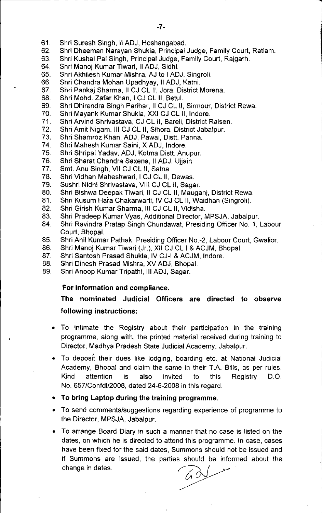61. Shri Suresh Singh, II ADJ, Hoshangabad.

~------ -- -- -

- 62. Shri Dheeman Narayan Shukla, Principal Judge, Family Court, Ratlam.
- 63. Shri Kushal Pal Singh, Principal Judge, Family Court, Rajgarh.
- 64. Shri Manoj Kumar Tiwari, II ADJ, Sidhi.
- 65. Shri Akhilesh Kumar Mishra, AJ to I ADJ, Singroli.
- 66. Shri Chandra Mohan Upadhyay, II ADJ, Katni.
- 67. Shri Pankaj Sharma, II CJ CL II, Jora, District Morena.
- 68. Shri Mohd. Zafar Khan, I CJ CL II, Betul.
- 69. Shri Dhirendra Singh Parihar, II CJ CL II, Sirmour, District Rewa.
- 70. Shri Mayank Kumar Shukla, XXI CJ CL II, Indore.
- 71. Shri Arvind Shrivastava, CJ CL II, Bareli, District Raisen.
- 72. Shri Amit Nigam, III CJ CL II, Sihora, District Jabalpur.
- 73. Shri Shamroz Khan, ADJ, Pawai, Distt. Panna.
- 74. Shri Mahesh Kumar Saini, X ADJ, Indore.
- 75. Shri Shripal Yadav, ADJ, Kotma Distt. Anupur.
- 76. Shri Sharat Chandra Saxena, II ADJ, Ujjain.
- 77. Smt. Anu Singh, VII CJ CL II, Satna
- 78. Shri Vidhan Maheshwari, I CJ CL II, Dewas.
- 79. Sushri Nidhi Shrivastava, VIII CJ CL II, Sagar.
- 80. Shri Bishwa Deepak Tiwari, II CJ CL II, Mauganj, District Rewa.
- 81. Shri Kusum Hara Chakarwarti, IV CJ CL II, Waidhan (Singroli).
- 82. Shri Girish Kumar Sharma, III CJ CL II, Vidisha.
- 83. Shri Pradeep Kumar Vyas, Additional Director, MPSJA, Jabalpur.
- 84. Shri Ravindra Pratap Singh Chundawat, Presiding Officer No. 1, Labour Court, Bhopal.
- 85. Shri Anil Kumar Pathak, Presiding Officer NO.-2, Labour Court, Gwalior.
- 86. Shri Manoj Kumar Tiwari (Jr.), XII CJ CL I & ACJM, Bhopal.
- 87. Shri Santosh Prasad Shukla, IV CJ-I & ACJM, Indore.
- 88. Shri Dinesh Prasad Mishra, XV ADJ, Bhopal.
- 89. Shri Anoop Kumar Tripathi, III ADJ, Sagar.

## For information and compliance.

## The nominated Judicial Officers are directed to observe following instructions:

- To intimate the Registry about their participation in the training programme, along with, the printed material received during training to Director, Madhya Pradesh State Judicial Academy, Jabalpur.
- To deposit their dues like lodging, boarding etc. at National Judicial Academy, Bhopal and claim the same in their T.A. Bills, as per rules. Kind attention is also invited to this Registry D.O. No. 657/Confdl/2008, dated 24-6-2008 in this regard.
- To bring Laptop during the training programme.
- To send comments/suggestions regarding experience of programme to the Director, MPSJA, Jabalpur.
- To arrange Board Diary in such a manner that no case is listed on the dates, on which he is directed to attend this programme. In case, cases have been fixed for the said dates, Summons should not be issued and if Summons are issued, the parties should be informed about the change in dates.

 $6d$